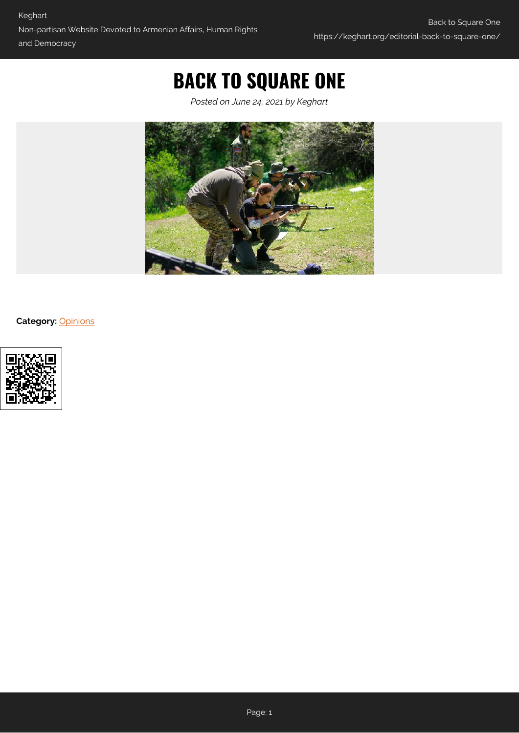# **BACK TO SQUARE ONE**

*Posted on June 24, 2021 by Keghart*



**Category:** [Opinions](https://keghart.org/category/opinions/)

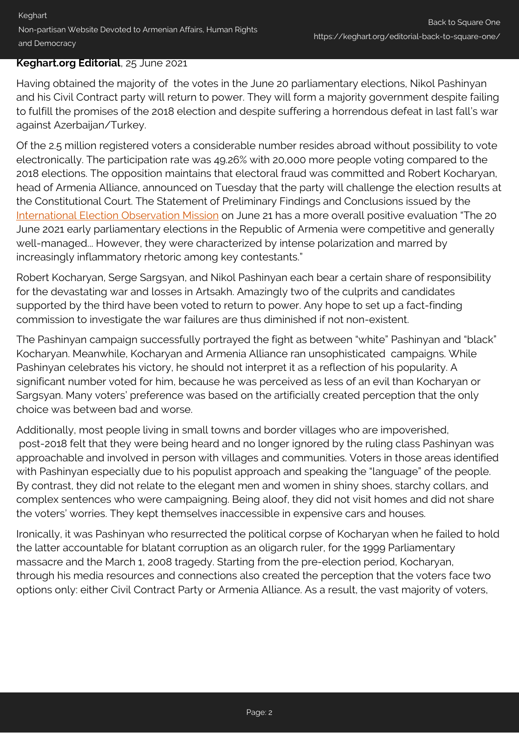### **Keghart.org Editorial**, 25 June 2021

Having obtained the majority of the votes in the June 20 parliamentary elections, Nikol Pashinyan and his Civil Contract party will return to power. They will form a majority government despite failing to fulfill the promises of the 2018 election and despite suffering a horrendous defeat in last fall's war against Azerbaijan/Turkey.

Of the 2.5 million registered voters a considerable number resides abroad without possibility to vote electronically. The participation rate was 49.26% with 20,000 more people voting compared to the 2018 elections. The opposition maintains that electoral fraud was committed and Robert Kocharyan, head of Armenia Alliance, announced on Tuesday that the party will challenge the election results at the Constitutional Court. The Statement of Preliminary Findings and Conclusions issued by the [International Election Observation Mission](https://www.osce.org/files/f/documents/1/3/490307_0.pdf) on June 21 has a more overall positive evaluation "The 20 June 2021 early parliamentary elections in the Republic of Armenia were competitive and generally well-managed... However, they were characterized by intense polarization and marred by increasingly inflammatory rhetoric among key contestants."

Robert Kocharyan, Serge Sargsyan, and Nikol Pashinyan each bear a certain share of responsibility for the devastating war and losses in Artsakh. Amazingly two of the culprits and candidates supported by the third have been voted to return to power. Any hope to set up a fact-finding commission to investigate the war failures are thus diminished if not non-existent.

The Pashinyan campaign successfully portrayed the fight as between "white" Pashinyan and "black" Kocharyan. Meanwhile, Kocharyan and Armenia Alliance ran unsophisticated campaigns. While Pashinyan celebrates his victory, he should not interpret it as a reflection of his popularity. A significant number voted for him, because he was perceived as less of an evil than Kocharyan or Sargsyan. Many voters' preference was based on the artificially created perception that the only choice was between bad and worse.

Additionally, most people living in small towns and border villages who are impoverished, post-2018 felt that they were being heard and no longer ignored by the ruling class Pashinyan was approachable and involved in person with villages and communities. Voters in those areas identified with Pashinyan especially due to his populist approach and speaking the "language" of the people. By contrast, they did not relate to the elegant men and women in shiny shoes, starchy collars, and complex sentences who were campaigning. Being aloof, they did not visit homes and did not share the voters' worries. They kept themselves inaccessible in expensive cars and houses.

Ironically, it was Pashinyan who resurrected the political corpse of Kocharyan when he failed to hold the latter accountable for blatant corruption as an oligarch ruler, for the 1999 Parliamentary massacre and the March 1, 2008 tragedy. Starting from the pre-election period, Kocharyan, through his media resources and connections also created the perception that the voters face two options only: either Civil Contract Party or Armenia Alliance. As a result, the vast majority of voters,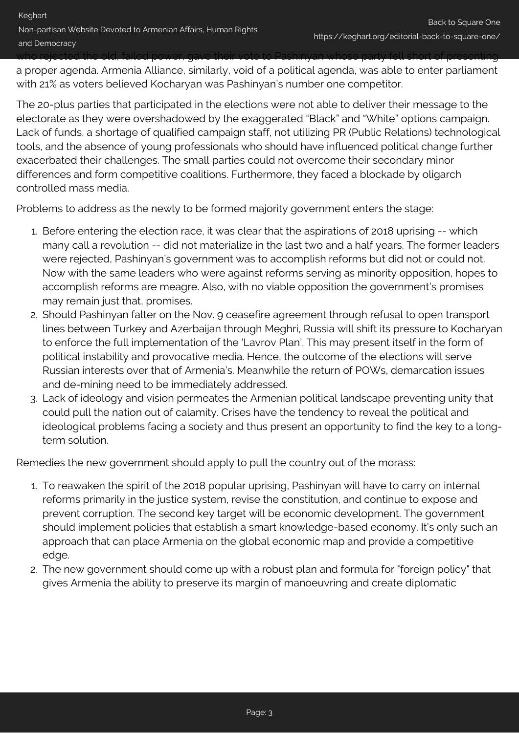a proper agenda. Armenia Alliance, similarly, void of a political agenda, was able to enter parliament with 21% as voters believed Kocharyan was Pashinyan's number one competitor.

The 20-plus parties that participated in the elections were not able to deliver their message to the electorate as they were overshadowed by the exaggerated "Black" and "White" options campaign. Lack of funds, a shortage of qualified campaign staff, not utilizing PR (Public Relations) technological tools, and the absence of young professionals who should have influenced political change further exacerbated their challenges. The small parties could not overcome their secondary minor differences and form competitive coalitions. Furthermore, they faced a blockade by oligarch controlled mass media.

Problems to address as the newly to be formed majority government enters the stage:

- 1. Before entering the election race, it was clear that the aspirations of 2018 uprising -- which many call a revolution -- did not materialize in the last two and a half years. The former leaders were rejected, Pashinyan's government was to accomplish reforms but did not or could not. Now with the same leaders who were against reforms serving as minority opposition, hopes to accomplish reforms are meagre. Also, with no viable opposition the government's promises may remain just that, promises.
- 2. Should Pashinyan falter on the Nov. 9 ceasefire agreement through refusal to open transport lines between Turkey and Azerbaijan through Meghri, Russia will shift its pressure to Kocharyan to enforce the full implementation of the 'Lavrov Plan'. This may present itself in the form of political instability and provocative media. Hence, the outcome of the elections will serve Russian interests over that of Armenia's. Meanwhile the return of POWs, demarcation issues and de-mining need to be immediately addressed.
- 3. Lack of ideology and vision permeates the Armenian political landscape preventing unity that could pull the nation out of calamity. Crises have the tendency to reveal the political and ideological problems facing a society and thus present an opportunity to find the key to a longterm solution.

Remedies the new government should apply to pull the country out of the morass:

- 1. To reawaken the spirit of the 2018 popular uprising, Pashinyan will have to carry on internal reforms primarily in the justice system, revise the constitution, and continue to expose and prevent corruption. The second key target will be economic development. The government should implement policies that establish a smart knowledge-based economy. It's only such an approach that can place Armenia on the global economic map and provide a competitive edge.
- 2. The new government should come up with a robust plan and formula for "foreign policy" that gives Armenia the ability to preserve its margin of manoeuvring and create diplomatic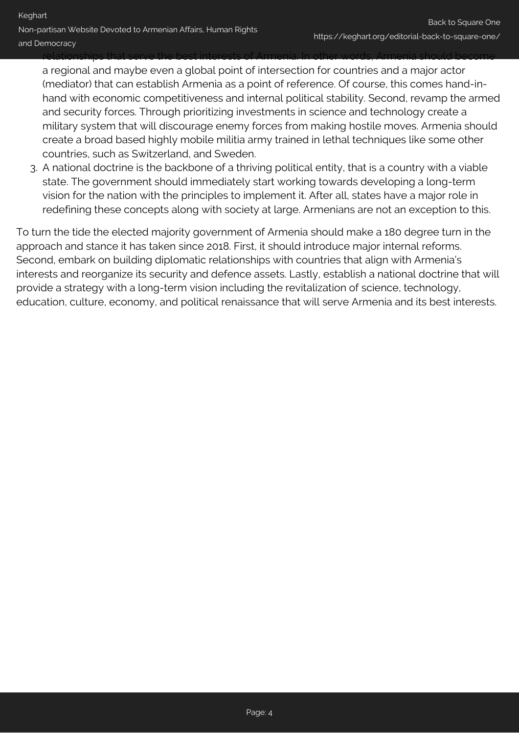relationships that serve the best interests of Armenia. In other words, Armenia should become a regional and maybe even a global point of intersection for countries and a major actor (mediator) that can establish Armenia as a point of reference. Of course, this comes hand-inhand with economic competitiveness and internal political stability. Second, revamp the armed and security forces. Through prioritizing investments in science and technology create a military system that will discourage enemy forces from making hostile moves. Armenia should create a broad based highly mobile militia army trained in lethal techniques like some other countries, such as Switzerland, and Sweden.

3. A national doctrine is the backbone of a thriving political entity, that is a country with a viable state. The government should immediately start working towards developing a long-term vision for the nation with the principles to implement it. After all, states have a major role in redefining these concepts along with society at large. Armenians are not an exception to this.

To turn the tide the elected majority government of Armenia should make a 180 degree turn in the approach and stance it has taken since 2018. First, it should introduce major internal reforms. Second, embark on building diplomatic relationships with countries that align with Armenia's interests and reorganize its security and defence assets. Lastly, establish a national doctrine that will provide a strategy with a long-term vision including the revitalization of science, technology, education, culture, economy, and political renaissance that will serve Armenia and its best interests.